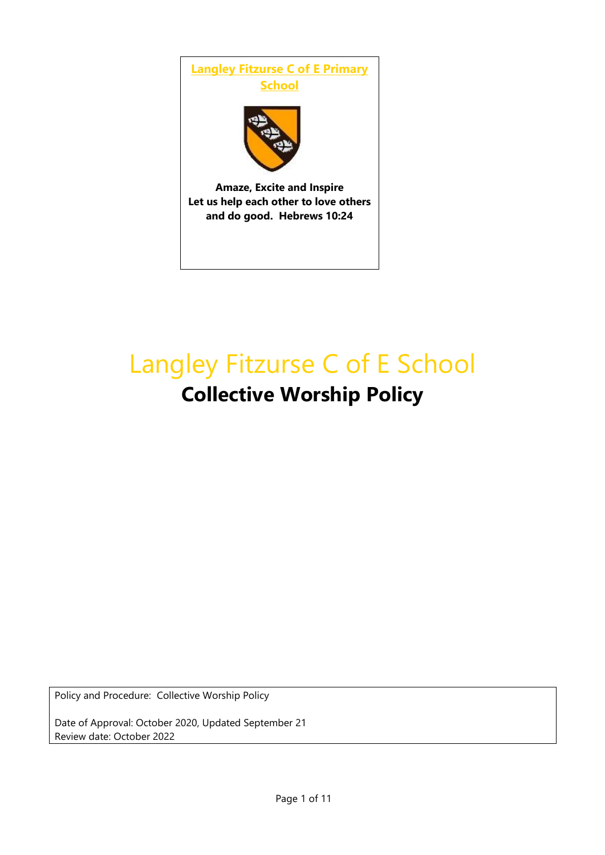

# Langley Fitzurse C of E School **Collective Worship Policy**

Policy and Procedure: Collective Worship Policy

Date of Approval: October 2020, Updated September 21 Review date: October 2022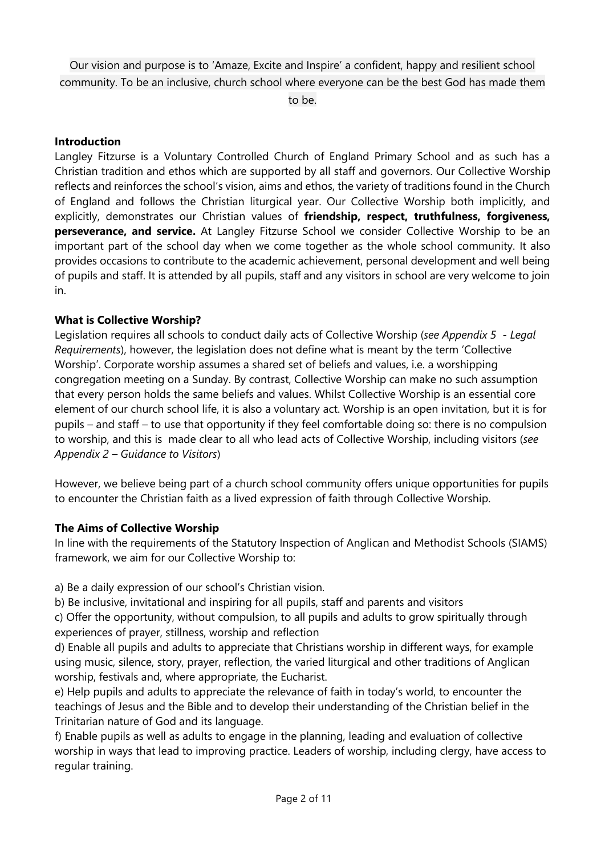Our vision and purpose is to 'Amaze, Excite and Inspire' a confident, happy and resilient school community. To be an inclusive, church school where everyone can be the best God has made them

to be.

## **Introduction**

Langley Fitzurse is a Voluntary Controlled Church of England Primary School and as such has a Christian tradition and ethos which are supported by all staff and governors. Our Collective Worship reflects and reinforces the school's vision, aims and ethos, the variety of traditions found in the Church of England and follows the Christian liturgical year. Our Collective Worship both implicitly, and explicitly, demonstrates our Christian values of **friendship, respect, truthfulness, forgiveness, perseverance, and service.** At Langley Fitzurse School we consider Collective Worship to be an important part of the school day when we come together as the whole school community. It also provides occasions to contribute to the academic achievement, personal development and well being of pupils and staff. It is attended by all pupils, staff and any visitors in school are very welcome to join in.

# **What is Collective Worship?**

Legislation requires all schools to conduct daily acts of Collective Worship (*see Appendix 5 - Legal Requirements*), however, the legislation does not define what is meant by the term 'Collective Worship'. Corporate worship assumes a shared set of beliefs and values, i.e. a worshipping congregation meeting on a Sunday. By contrast, Collective Worship can make no such assumption that every person holds the same beliefs and values. Whilst Collective Worship is an essential core element of our church school life, it is also a voluntary act. Worship is an open invitation, but it is for pupils – and staff – to use that opportunity if they feel comfortable doing so: there is no compulsion to worship, and this is made clear to all who lead acts of Collective Worship, including visitors (*see Appendix 2 – Guidance to Visitors*)

However, we believe being part of a church school community offers unique opportunities for pupils to encounter the Christian faith as a lived expression of faith through Collective Worship.

#### **The Aims of Collective Worship**

In line with the requirements of the Statutory Inspection of Anglican and Methodist Schools (SIAMS) framework, we aim for our Collective Worship to:

a) Be a daily expression of our school's Christian vision.

b) Be inclusive, invitational and inspiring for all pupils, staff and parents and visitors

c) Offer the opportunity, without compulsion, to all pupils and adults to grow spiritually through experiences of prayer, stillness, worship and reflection

d) Enable all pupils and adults to appreciate that Christians worship in different ways, for example using music, silence, story, prayer, reflection, the varied liturgical and other traditions of Anglican worship, festivals and, where appropriate, the Eucharist.

e) Help pupils and adults to appreciate the relevance of faith in today's world, to encounter the teachings of Jesus and the Bible and to develop their understanding of the Christian belief in the Trinitarian nature of God and its language.

f) Enable pupils as well as adults to engage in the planning, leading and evaluation of collective worship in ways that lead to improving practice. Leaders of worship, including clergy, have access to regular training.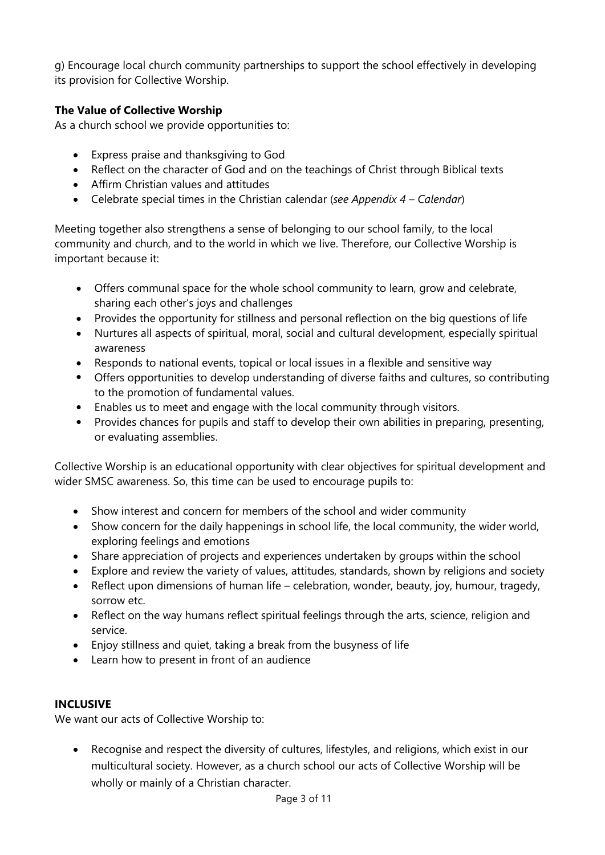g) Encourage local church community partnerships to support the school effectively in developing its provision for Collective Worship.

# **The Value of Collective Worship**

As a church school we provide opportunities to:

- Express praise and thanksgiving to God
- Reflect on the character of God and on the teachings of Christ through Biblical texts
- Affirm Christian values and attitudes
- Celebrate special times in the Christian calendar (*see Appendix 4 – Calendar*)

Meeting together also strengthens a sense of belonging to our school family, to the local community and church, and to the world in which we live. Therefore, our Collective Worship is important because it:

- Offers communal space for the whole school community to learn, grow and celebrate, sharing each other's joys and challenges
- Provides the opportunity for stillness and personal reflection on the big questions of life
- Nurtures all aspects of spiritual, moral, social and cultural development, especially spiritual awareness
- Responds to national events, topical or local issues in a flexible and sensitive way
- Offers opportunities to develop understanding of diverse faiths and cultures, so contributing to the promotion of fundamental values.
- Enables us to meet and engage with the local community through visitors.
- Provides chances for pupils and staff to develop their own abilities in preparing, presenting, or evaluating assemblies.

Collective Worship is an educational opportunity with clear objectives for spiritual development and wider SMSC awareness. So, this time can be used to encourage pupils to:

- Show interest and concern for members of the school and wider community
- Show concern for the daily happenings in school life, the local community, the wider world, exploring feelings and emotions
- Share appreciation of projects and experiences undertaken by groups within the school
- Explore and review the variety of values, attitudes, standards, shown by religions and society
- Reflect upon dimensions of human life celebration, wonder, beauty, joy, humour, tragedy, sorrow etc.
- Reflect on the way humans reflect spiritual feelings through the arts, science, religion and service.
- Enjoy stillness and quiet, taking a break from the busyness of life
- Learn how to present in front of an audience

# **INCLUSIVE**

We want our acts of Collective Worship to:

 Recognise and respect the diversity of cultures, lifestyles, and religions, which exist in our multicultural society. However, as a church school our acts of Collective Worship will be wholly or mainly of a Christian character.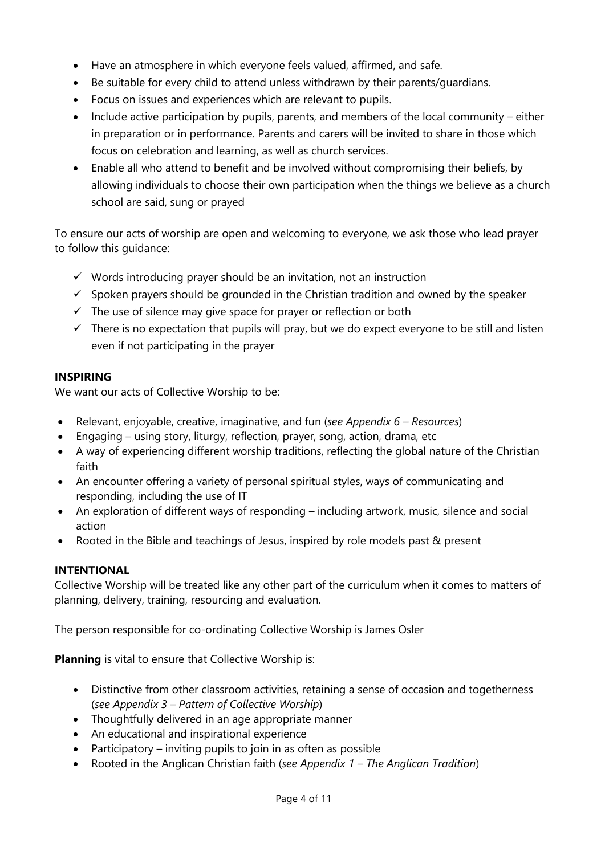- Have an atmosphere in which everyone feels valued, affirmed, and safe.
- Be suitable for every child to attend unless withdrawn by their parents/guardians.
- Focus on issues and experiences which are relevant to pupils.
- Include active participation by pupils, parents, and members of the local community either in preparation or in performance. Parents and carers will be invited to share in those which focus on celebration and learning, as well as church services.
- Enable all who attend to benefit and be involved without compromising their beliefs, by allowing individuals to choose their own participation when the things we believe as a church school are said, sung or prayed

To ensure our acts of worship are open and welcoming to everyone, we ask those who lead prayer to follow this guidance:

- $\checkmark$  Words introducing prayer should be an invitation, not an instruction
- $\checkmark$  Spoken prayers should be grounded in the Christian tradition and owned by the speaker
- $\checkmark$  The use of silence may give space for prayer or reflection or both
- $\checkmark$  There is no expectation that pupils will pray, but we do expect everyone to be still and listen even if not participating in the prayer

# **INSPIRING**

We want our acts of Collective Worship to be:

- Relevant, enjoyable, creative, imaginative, and fun (*see Appendix 6 – Resources*)
- Engaging using story, liturgy, reflection, prayer, song, action, drama, etc
- A way of experiencing different worship traditions, reflecting the global nature of the Christian faith
- An encounter offering a variety of personal spiritual styles, ways of communicating and responding, including the use of IT
- An exploration of different ways of responding including artwork, music, silence and social action
- Rooted in the Bible and teachings of Jesus, inspired by role models past & present

# **INTENTIONAL**

Collective Worship will be treated like any other part of the curriculum when it comes to matters of planning, delivery, training, resourcing and evaluation.

The person responsible for co-ordinating Collective Worship is James Osler

**Planning** is vital to ensure that Collective Worship is:

- Distinctive from other classroom activities, retaining a sense of occasion and togetherness (*see Appendix 3 – Pattern of Collective Worship*)
- Thoughtfully delivered in an age appropriate manner
- An educational and inspirational experience
- Participatory inviting pupils to join in as often as possible
- Rooted in the Anglican Christian faith (*see Appendix 1 – The Anglican Tradition*)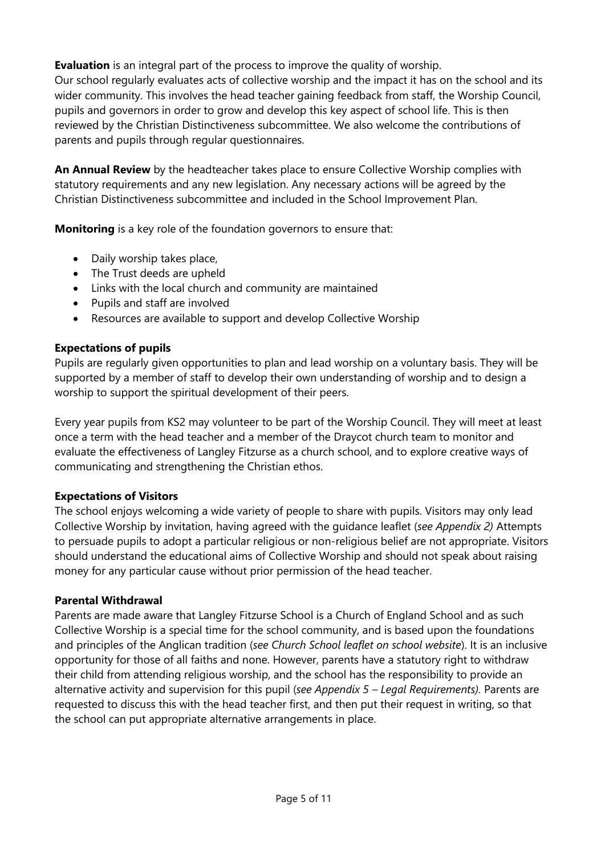**Evaluation** is an integral part of the process to improve the quality of worship. Our school regularly evaluates acts of collective worship and the impact it has on the school and its wider community. This involves the head teacher gaining feedback from staff, the Worship Council, pupils and governors in order to grow and develop this key aspect of school life. This is then reviewed by the Christian Distinctiveness subcommittee. We also welcome the contributions of parents and pupils through regular questionnaires.

**An Annual Review** by the headteacher takes place to ensure Collective Worship complies with statutory requirements and any new legislation. Any necessary actions will be agreed by the Christian Distinctiveness subcommittee and included in the School Improvement Plan.

**Monitoring** is a key role of the foundation governors to ensure that:

- Daily worship takes place,
- The Trust deeds are upheld
- Links with the local church and community are maintained
- Pupils and staff are involved
- Resources are available to support and develop Collective Worship

# **Expectations of pupils**

Pupils are regularly given opportunities to plan and lead worship on a voluntary basis. They will be supported by a member of staff to develop their own understanding of worship and to design a worship to support the spiritual development of their peers.

Every year pupils from KS2 may volunteer to be part of the Worship Council. They will meet at least once a term with the head teacher and a member of the Draycot church team to monitor and evaluate the effectiveness of Langley Fitzurse as a church school, and to explore creative ways of communicating and strengthening the Christian ethos.

# **Expectations of Visitors**

The school enjoys welcoming a wide variety of people to share with pupils. Visitors may only lead Collective Worship by invitation, having agreed with the guidance leaflet (*see Appendix 2)* Attempts to persuade pupils to adopt a particular religious or non-religious belief are not appropriate. Visitors should understand the educational aims of Collective Worship and should not speak about raising money for any particular cause without prior permission of the head teacher.

# **Parental Withdrawal**

Parents are made aware that Langley Fitzurse School is a Church of England School and as such Collective Worship is a special time for the school community, and is based upon the foundations and principles of the Anglican tradition (*see Church School leaflet on school website*). It is an inclusive opportunity for those of all faiths and none. However, parents have a statutory right to withdraw their child from attending religious worship, and the school has the responsibility to provide an alternative activity and supervision for this pupil (*see Appendix 5 – Legal Requirements).* Parents are requested to discuss this with the head teacher first, and then put their request in writing, so that the school can put appropriate alternative arrangements in place.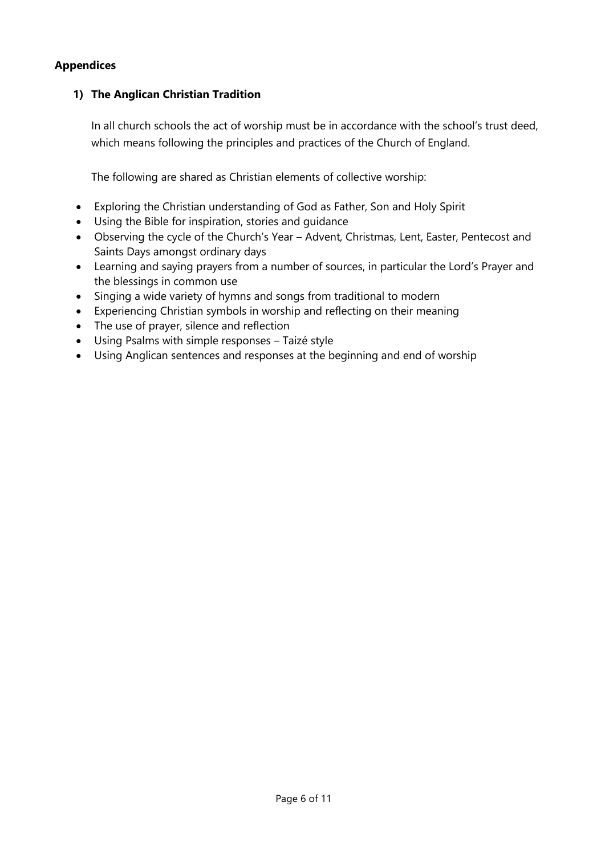# **Appendices**

# **1) The Anglican Christian Tradition**

In all church schools the act of worship must be in accordance with the school's trust deed, which means following the principles and practices of the Church of England.

The following are shared as Christian elements of collective worship:

- Exploring the Christian understanding of God as Father, Son and Holy Spirit
- Using the Bible for inspiration, stories and guidance
- Observing the cycle of the Church's Year Advent, Christmas, Lent, Easter, Pentecost and Saints Days amongst ordinary days
- Learning and saying prayers from a number of sources, in particular the Lord's Prayer and the blessings in common use
- Singing a wide variety of hymns and songs from traditional to modern
- Experiencing Christian symbols in worship and reflecting on their meaning
- The use of prayer, silence and reflection
- Using Psalms with simple responses Taizé style
- Using Anglican sentences and responses at the beginning and end of worship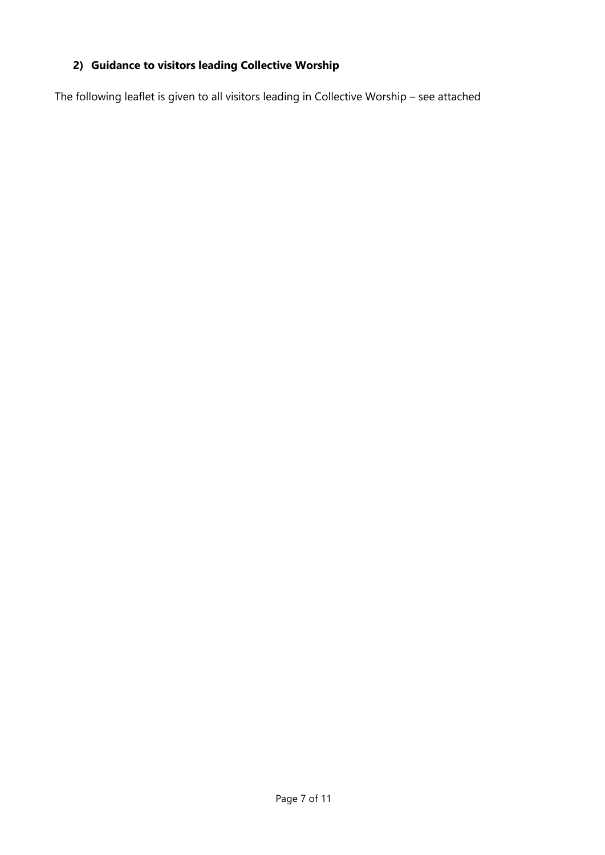# **2) Guidance to visitors leading Collective Worship**

The following leaflet is given to all visitors leading in Collective Worship – see attached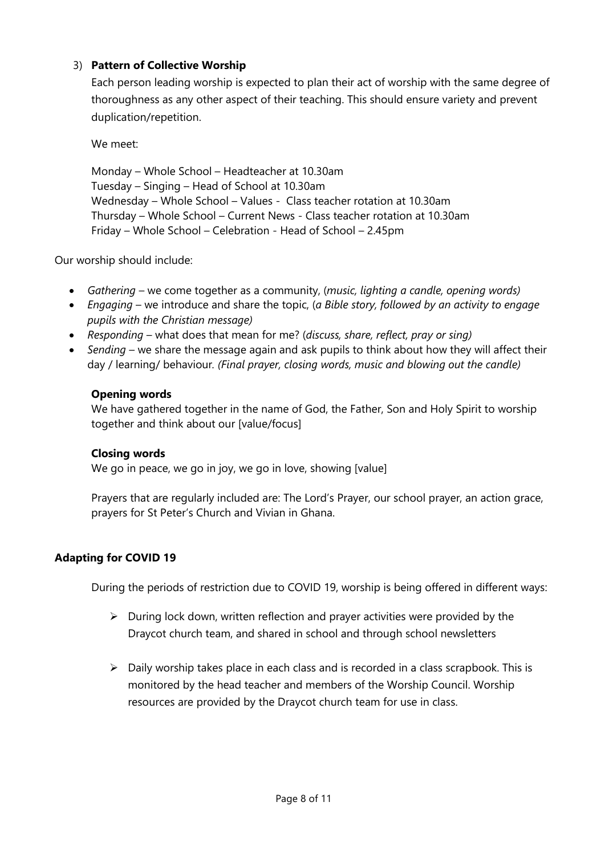# 3) **Pattern of Collective Worship**

Each person leading worship is expected to plan their act of worship with the same degree of thoroughness as any other aspect of their teaching. This should ensure variety and prevent duplication/repetition.

We meet:

Monday – Whole School – Headteacher at 10.30am Tuesday – Singing – Head of School at 10.30am Wednesday – Whole School – Values - Class teacher rotation at 10.30am Thursday – Whole School – Current News - Class teacher rotation at 10.30am Friday – Whole School – Celebration - Head of School – 2.45pm

Our worship should include:

- *Gathering* we come together as a community, (*music, lighting a candle, opening words)*
- *Engaging* we introduce and share the topic, (*a Bible story, followed by an activity to engage pupils with the Christian message)*
- *Responding* what does that mean for me? (*discuss, share, reflect, pray or sing)*
- *Sending* we share the message again and ask pupils to think about how they will affect their day / learning/ behaviour*. (Final prayer, closing words, music and blowing out the candle)*

#### **Opening words**

We have gathered together in the name of God, the Father, Son and Holy Spirit to worship together and think about our [value/focus]

#### **Closing words**

We go in peace, we go in joy, we go in love, showing [value]

Prayers that are regularly included are: The Lord's Prayer, our school prayer, an action grace, prayers for St Peter's Church and Vivian in Ghana.

# **Adapting for COVID 19**

During the periods of restriction due to COVID 19, worship is being offered in different ways:

- $\triangleright$  During lock down, written reflection and prayer activities were provided by the Draycot church team, and shared in school and through school newsletters
- $\triangleright$  Daily worship takes place in each class and is recorded in a class scrapbook. This is monitored by the head teacher and members of the Worship Council. Worship resources are provided by the Draycot church team for use in class.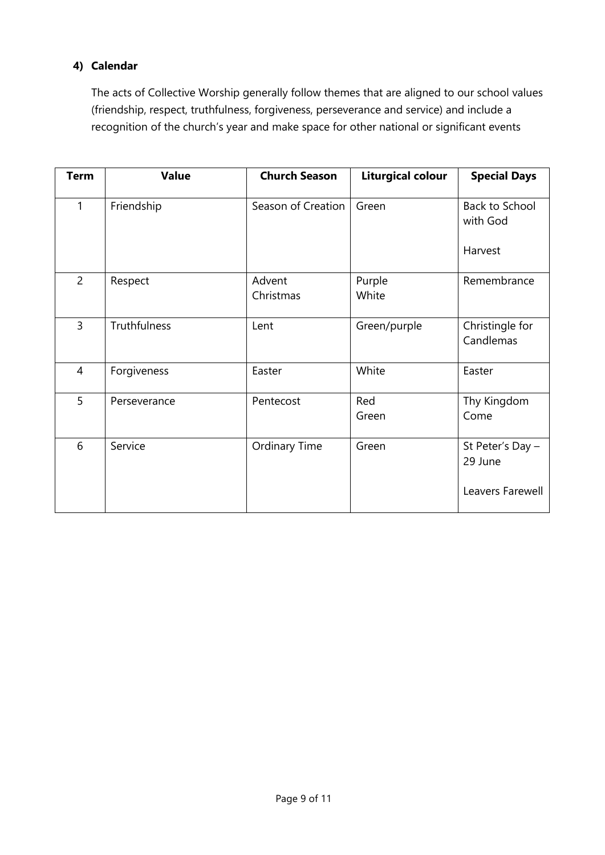# **4) Calendar**

The acts of Collective Worship generally follow themes that are aligned to our school values (friendship, respect, truthfulness, forgiveness, perseverance and service) and include a recognition of the church's year and make space for other national or significant events

| <b>Term</b>    | <b>Value</b> | <b>Church Season</b> | <b>Liturgical colour</b> | <b>Special Days</b>          |
|----------------|--------------|----------------------|--------------------------|------------------------------|
| $\mathbf{1}$   | Friendship   | Season of Creation   | Green                    | Back to School<br>with God   |
|                |              |                      |                          | Harvest                      |
| $\overline{2}$ | Respect      | Advent<br>Christmas  | Purple<br>White          | Remembrance                  |
| $\overline{3}$ | Truthfulness | Lent                 | Green/purple             | Christingle for<br>Candlemas |
| 4              | Forgiveness  | Easter               | White                    | Easter                       |
| 5              | Perseverance | Pentecost            | Red<br>Green             | Thy Kingdom<br>Come          |
| 6              | Service      | Ordinary Time        | Green                    | St Peter's Day -<br>29 June  |
|                |              |                      |                          | Leavers Farewell             |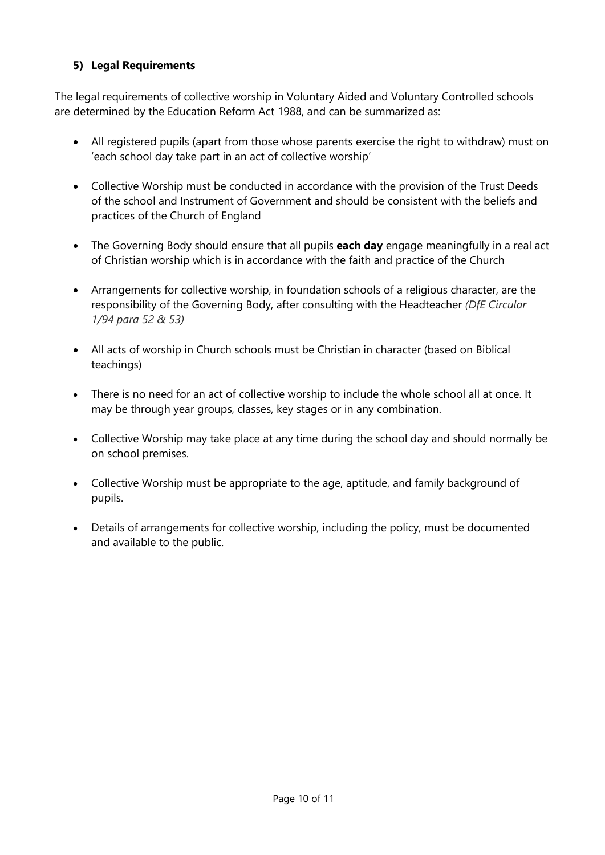# **5) Legal Requirements**

The legal requirements of collective worship in Voluntary Aided and Voluntary Controlled schools are determined by the Education Reform Act 1988, and can be summarized as:

- All registered pupils (apart from those whose parents exercise the right to withdraw) must on 'each school day take part in an act of collective worship'
- Collective Worship must be conducted in accordance with the provision of the Trust Deeds of the school and Instrument of Government and should be consistent with the beliefs and practices of the Church of England
- The Governing Body should ensure that all pupils **each day** engage meaningfully in a real act of Christian worship which is in accordance with the faith and practice of the Church
- Arrangements for collective worship, in foundation schools of a religious character, are the responsibility of the Governing Body, after consulting with the Headteacher *(DfE Circular 1/94 para 52 & 53)*
- All acts of worship in Church schools must be Christian in character (based on Biblical teachings)
- There is no need for an act of collective worship to include the whole school all at once. It may be through year groups, classes, key stages or in any combination.
- Collective Worship may take place at any time during the school day and should normally be on school premises.
- Collective Worship must be appropriate to the age, aptitude, and family background of pupils.
- Details of arrangements for collective worship, including the policy, must be documented and available to the public.